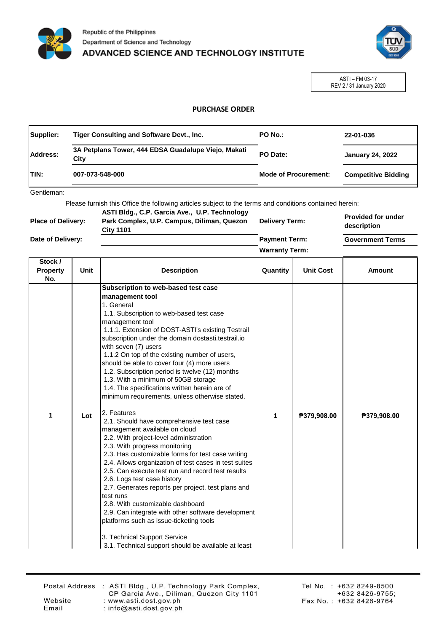



ASTI – FM 03-17 REV 2 / 31 January 2020

## **PURCHASE ORDER**

| Supplier:       | Tiger Consulting and Software Devt., Inc.                   | PO No.:                     | 22-01-036                  |
|-----------------|-------------------------------------------------------------|-----------------------------|----------------------------|
| <b>Address:</b> | 3A Petplans Tower, 444 EDSA Guadalupe Viejo, Makati<br>Citv | PO Date:                    | <b>January 24, 2022</b>    |
| <b>ITIN:</b>    | 007-073-548-000                                             | <b>Mode of Procurement:</b> | <b>Competitive Bidding</b> |

Gentleman:

Please furnish this Office the following articles subject to the terms and conditions contained herein:

| <b>Place of Delivery:</b> | ASTI Bldg., C.P. Garcia Ave., U.P. Technology<br>Park Complex, U.P. Campus, Diliman, Quezon<br><b>City 1101</b> | <b>Delivery Term:</b> | <b>Provided for under</b><br>description |
|---------------------------|-----------------------------------------------------------------------------------------------------------------|-----------------------|------------------------------------------|
| Date of Delivery:         |                                                                                                                 | <b>Payment Term:</b>  | <b>Government Terms</b>                  |
|                           |                                                                                                                 | <b>Warranty Term:</b> |                                          |

| Stock /<br><b>Property</b> | Unit | <b>Description</b>                                                                                                                                                                                                                                                                                                                                                                                                                                                                                                                                                                                                                                                                                                                                                                                                                                                                                                                                                                                                                                                                                                                                                                                                                         | Quantity | <b>Unit Cost</b> | <b>Amount</b> |
|----------------------------|------|--------------------------------------------------------------------------------------------------------------------------------------------------------------------------------------------------------------------------------------------------------------------------------------------------------------------------------------------------------------------------------------------------------------------------------------------------------------------------------------------------------------------------------------------------------------------------------------------------------------------------------------------------------------------------------------------------------------------------------------------------------------------------------------------------------------------------------------------------------------------------------------------------------------------------------------------------------------------------------------------------------------------------------------------------------------------------------------------------------------------------------------------------------------------------------------------------------------------------------------------|----------|------------------|---------------|
| No.                        |      |                                                                                                                                                                                                                                                                                                                                                                                                                                                                                                                                                                                                                                                                                                                                                                                                                                                                                                                                                                                                                                                                                                                                                                                                                                            |          |                  |               |
| 1                          | Lot  | Subscription to web-based test case<br>management tool<br>1. General<br>1.1. Subscription to web-based test case<br>management tool<br>1.1.1. Extension of DOST-ASTI's existing Testrail<br>subscription under the domain dostasti.testrail.io<br>with seven (7) users<br>1.1.2 On top of the existing number of users,<br>should be able to cover four (4) more users<br>1.2. Subscription period is twelve (12) months<br>1.3. With a minimum of 50GB storage<br>1.4. The specifications written herein are of<br>minimum requirements, unless otherwise stated.<br>2. Features<br>2.1. Should have comprehensive test case<br>management available on cloud<br>2.2. With project-level administration<br>2.3. With progress monitoring<br>2.3. Has customizable forms for test case writing<br>2.4. Allows organization of test cases in test suites<br>2.5. Can execute test run and record test results<br>2.6. Logs test case history<br>2.7. Generates reports per project, test plans and<br>test runs<br>2.8. With customizable dashboard<br>2.9. Can integrate with other software development<br>platforms such as issue-ticketing tools<br>3. Technical Support Service<br>3.1. Technical support should be available at least | 1        | P379,908.00      | P379,908.00   |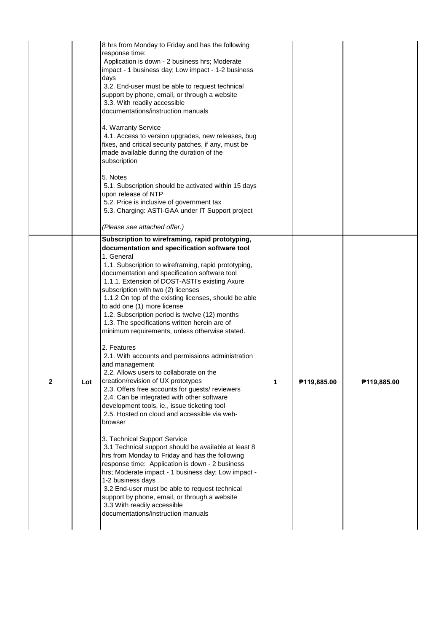|   |     | 8 hrs from Monday to Friday and has the following<br>response time:<br>Application is down - 2 business hrs; Moderate<br>impact - 1 business day; Low impact - 1-2 business<br>days<br>3.2. End-user must be able to request technical<br>support by phone, email, or through a website<br>3.3. With readily accessible<br>documentations/instruction manuals<br>4. Warranty Service<br>4.1. Access to version upgrades, new releases, bug<br>fixes, and critical security patches, if any, must be<br>made available during the duration of the<br>subscription<br>5. Notes<br>5.1. Subscription should be activated within 15 days<br>upon release of NTP<br>5.2. Price is inclusive of government tax<br>5.3. Charging: ASTI-GAA under IT Support project<br>(Please see attached offer.)                                                                                                                                                                                                                                                                                                                                                                                                                                                                                                                                                                                                      |   |             |             |
|---|-----|---------------------------------------------------------------------------------------------------------------------------------------------------------------------------------------------------------------------------------------------------------------------------------------------------------------------------------------------------------------------------------------------------------------------------------------------------------------------------------------------------------------------------------------------------------------------------------------------------------------------------------------------------------------------------------------------------------------------------------------------------------------------------------------------------------------------------------------------------------------------------------------------------------------------------------------------------------------------------------------------------------------------------------------------------------------------------------------------------------------------------------------------------------------------------------------------------------------------------------------------------------------------------------------------------------------------------------------------------------------------------------------------------|---|-------------|-------------|
| 2 | Lot | Subscription to wireframing, rapid prototyping,<br>documentation and specification software tool<br>1. General<br>1.1. Subscription to wireframing, rapid prototyping,<br>documentation and specification software tool<br>1.1.1. Extension of DOST-ASTI's existing Axure<br>subscription with two (2) licenses<br>1.1.2 On top of the existing licenses, should be able<br>to add one (1) more license<br>1.2. Subscription period is twelve (12) months<br>1.3. The specifications written herein are of<br>minimum requirements, unless otherwise stated.<br>2. Features<br>2.1. With accounts and permissions administration<br>and management<br>2.2. Allows users to collaborate on the<br>creation/revision of UX prototypes<br>2.3. Offers free accounts for guests/ reviewers<br>2.4. Can be integrated with other software<br>development tools, ie., issue ticketing tool<br>2.5. Hosted on cloud and accessible via web-<br>browser<br>3. Technical Support Service<br>3.1 Technical support should be available at least 8<br>hrs from Monday to Friday and has the following<br>response time: Application is down - 2 business<br>hrs; Moderate impact - 1 business day; Low impact -<br>1-2 business days<br>3.2 End-user must be able to request technical<br>support by phone, email, or through a website<br>3.3 With readily accessible<br>documentations/instruction manuals | 1 | P119,885.00 | P119,885.00 |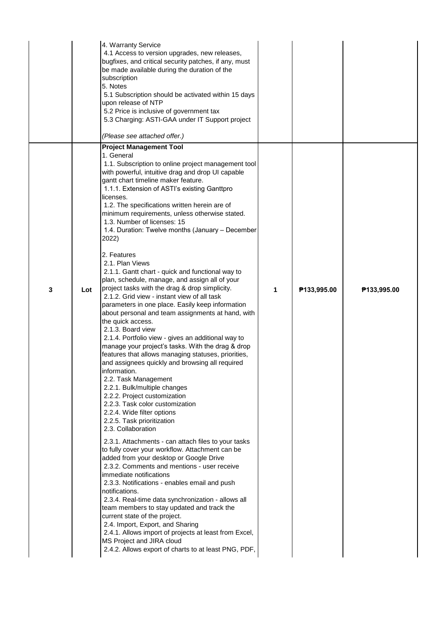|   |     | 4. Warranty Service<br>4.1 Access to version upgrades, new releases,<br>bugfixes, and critical security patches, if any, must<br>be made available during the duration of the<br>subscription<br>5. Notes<br>5.1 Subscription should be activated within 15 days<br>upon release of NTP<br>5.2 Price is inclusive of government tax<br>5.3 Charging: ASTI-GAA under IT Support project<br>(Please see attached offer.)                                                                                                                                                                                                                                                                                                                                                                                                                                                                                                                                                                                                                                                                                                                                                                                                                                                                                                                                                                                                                                                                                                                                                                                                                                                                                                                                                                                                                                                                                                             |              |             |             |
|---|-----|------------------------------------------------------------------------------------------------------------------------------------------------------------------------------------------------------------------------------------------------------------------------------------------------------------------------------------------------------------------------------------------------------------------------------------------------------------------------------------------------------------------------------------------------------------------------------------------------------------------------------------------------------------------------------------------------------------------------------------------------------------------------------------------------------------------------------------------------------------------------------------------------------------------------------------------------------------------------------------------------------------------------------------------------------------------------------------------------------------------------------------------------------------------------------------------------------------------------------------------------------------------------------------------------------------------------------------------------------------------------------------------------------------------------------------------------------------------------------------------------------------------------------------------------------------------------------------------------------------------------------------------------------------------------------------------------------------------------------------------------------------------------------------------------------------------------------------------------------------------------------------------------------------------------------------|--------------|-------------|-------------|
| 3 | Lot | <b>Project Management Tool</b><br>1. General<br>1.1. Subscription to online project management tool<br>with powerful, intuitive drag and drop UI capable<br>gantt chart timeline maker feature.<br>1.1.1. Extension of ASTI's existing Ganttpro<br>licenses.<br>1.2. The specifications written herein are of<br>minimum requirements, unless otherwise stated.<br>1.3. Number of licenses: 15<br>1.4. Duration: Twelve months (January - December<br>2022)<br>2. Features<br>2.1. Plan Views<br>2.1.1. Gantt chart - quick and functional way to<br>plan, schedule, manage, and assign all of your<br>project tasks with the drag & drop simplicity.<br>2.1.2. Grid view - instant view of all task<br>parameters in one place. Easily keep information<br>about personal and team assignments at hand, with<br>the quick access.<br>2.1.3. Board view<br>2.1.4. Portfolio view - gives an additional way to<br>manage your project's tasks. With the drag & drop<br>features that allows managing statuses, priorities,<br>and assignees quickly and browsing all required<br>information.<br>2.2. Task Management<br>2.2.1. Bulk/multiple changes<br>2.2.2. Project customization<br>2.2.3. Task color customization<br>2.2.4. Wide filter options<br>2.2.5. Task prioritization<br>2.3. Collaboration<br>2.3.1. Attachments - can attach files to your tasks<br>to fully cover your workflow. Attachment can be<br>added from your desktop or Google Drive<br>2.3.2. Comments and mentions - user receive<br>immediate notifications<br>2.3.3. Notifications - enables email and push<br>notifications.<br>2.3.4. Real-time data synchronization - allows all<br>team members to stay updated and track the<br>current state of the project.<br>2.4. Import, Export, and Sharing<br>2.4.1. Allows import of projects at least from Excel,<br>MS Project and JIRA cloud<br>2.4.2. Allows export of charts to at least PNG, PDF, | $\mathbf{1}$ | P133,995.00 | P133,995.00 |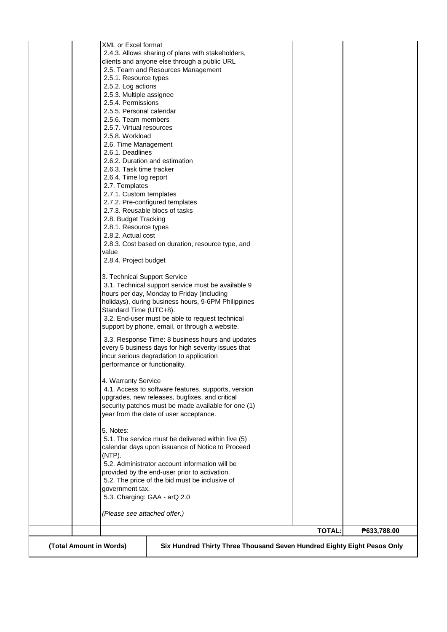| (Total Amount in Words)<br>Six Hundred Thirty Three Thousand Seven Hundred Eighty Eight Pesos Only |                                                |                                                                                                 |               |             |
|----------------------------------------------------------------------------------------------------|------------------------------------------------|-------------------------------------------------------------------------------------------------|---------------|-------------|
|                                                                                                    |                                                |                                                                                                 |               |             |
|                                                                                                    |                                                |                                                                                                 | <b>TOTAL:</b> | P633,788.00 |
|                                                                                                    | (Please see attached offer.)                   |                                                                                                 |               |             |
|                                                                                                    |                                                |                                                                                                 |               |             |
|                                                                                                    |                                                | 5.3. Charging: GAA - arQ 2.0                                                                    |               |             |
|                                                                                                    | government tax.                                |                                                                                                 |               |             |
|                                                                                                    |                                                | 5.2. The price of the bid must be inclusive of                                                  |               |             |
|                                                                                                    |                                                | 5.2. Administrator account information will be<br>provided by the end-user prior to activation. |               |             |
|                                                                                                    | (NTP).                                         |                                                                                                 |               |             |
|                                                                                                    |                                                | calendar days upon issuance of Notice to Proceed                                                |               |             |
|                                                                                                    |                                                | 5.1. The service must be delivered within five (5)                                              |               |             |
|                                                                                                    | 5. Notes:                                      |                                                                                                 |               |             |
|                                                                                                    |                                                | year from the date of user acceptance.                                                          |               |             |
|                                                                                                    |                                                | security patches must be made available for one (1)                                             |               |             |
|                                                                                                    |                                                | upgrades, new releases, bugfixes, and critical                                                  |               |             |
|                                                                                                    |                                                | 4.1. Access to software features, supports, version                                             |               |             |
|                                                                                                    | 4. Warranty Service                            |                                                                                                 |               |             |
|                                                                                                    |                                                |                                                                                                 |               |             |
|                                                                                                    | performance or functionality.                  |                                                                                                 |               |             |
|                                                                                                    |                                                | every 5 business days for high severity issues that<br>incur serious degradation to application |               |             |
|                                                                                                    |                                                | 3.3. Response Time: 8 business hours and updates                                                |               |             |
|                                                                                                    |                                                |                                                                                                 |               |             |
|                                                                                                    |                                                | support by phone, email, or through a website.                                                  |               |             |
|                                                                                                    | Standard Time (UTC+8).                         | 3.2. End-user must be able to request technical                                                 |               |             |
|                                                                                                    |                                                | holidays), during business hours, 9-6PM Philippines                                             |               |             |
|                                                                                                    |                                                | hours per day, Monday to Friday (including                                                      |               |             |
|                                                                                                    |                                                | 3.1. Technical support service must be available 9                                              |               |             |
|                                                                                                    | 3. Technical Support Service                   |                                                                                                 |               |             |
|                                                                                                    |                                                |                                                                                                 |               |             |
|                                                                                                    | value<br>2.8.4. Project budget                 |                                                                                                 |               |             |
|                                                                                                    |                                                | 2.8.3. Cost based on duration, resource type, and                                               |               |             |
|                                                                                                    | 2.8.2. Actual cost                             |                                                                                                 |               |             |
|                                                                                                    | 2.8.1. Resource types                          |                                                                                                 |               |             |
|                                                                                                    | 2.8. Budget Tracking                           |                                                                                                 |               |             |
|                                                                                                    |                                                | 2.7.3. Reusable blocs of tasks                                                                  |               |             |
|                                                                                                    |                                                | 2.7.2. Pre-configured templates                                                                 |               |             |
|                                                                                                    | 2.7.1. Custom templates                        |                                                                                                 |               |             |
|                                                                                                    | 2.6.4. Time log report<br>2.7. Templates       |                                                                                                 |               |             |
|                                                                                                    | 2.6.3. Task time tracker                       |                                                                                                 |               |             |
|                                                                                                    |                                                | 2.6.2. Duration and estimation                                                                  |               |             |
|                                                                                                    | 2.6.1. Deadlines                               |                                                                                                 |               |             |
|                                                                                                    | 2.6. Time Management                           |                                                                                                 |               |             |
|                                                                                                    | 2.5.8. Workload                                |                                                                                                 |               |             |
|                                                                                                    | 2.5.7. Virtual resources                       |                                                                                                 |               |             |
|                                                                                                    | 2.5.6. Team members                            |                                                                                                 |               |             |
|                                                                                                    | 2.5.5. Personal calendar                       |                                                                                                 |               |             |
|                                                                                                    | 2.5.4. Permissions                             |                                                                                                 |               |             |
|                                                                                                    | 2.5.2. Log actions<br>2.5.3. Multiple assignee |                                                                                                 |               |             |
|                                                                                                    | 2.5.1. Resource types                          |                                                                                                 |               |             |
|                                                                                                    |                                                | 2.5. Team and Resources Management                                                              |               |             |
|                                                                                                    |                                                | clients and anyone else through a public URL                                                    |               |             |
|                                                                                                    |                                                | 2.4.3. Allows sharing of plans with stakeholders,                                               |               |             |
|                                                                                                    | XML or Excel format                            |                                                                                                 |               |             |